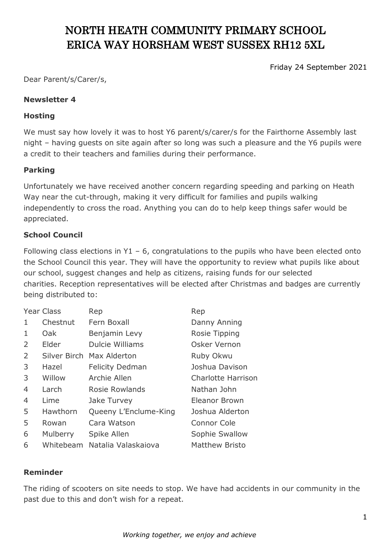# NORTH HEATH COMMUNITY PRIMARY SCHOOL ERICA WAY HORSHAM WEST SUSSEX RH12 5XL

Friday 24 September 2021

Dear Parent/s/Carer/s,

#### **Newsletter 4**

#### **Hosting**

We must say how lovely it was to host Y6 parent/s/carer/s for the Fairthorne Assembly last night – having guests on site again after so long was such a pleasure and the Y6 pupils were a credit to their teachers and families during their performance.

## **Parking**

Unfortunately we have received another concern regarding speeding and parking on Heath Way near the cut-through, making it very difficult for families and pupils walking independently to cross the road. Anything you can do to help keep things safer would be appreciated.

## **School Council**

Following class elections in Y1 – 6, congratulations to the pupils who have been elected onto the School Council this year. They will have the opportunity to review what pupils like about our school, suggest changes and help as citizens, raising funds for our selected charities. Reception representatives will be elected after Christmas and badges are currently being distributed to:

|   | <b>Year Class</b> | Rep                       | Rep                       |
|---|-------------------|---------------------------|---------------------------|
| 1 | Chestnut          | Fern Boxall               | Danny Anning              |
| 1 | Oak               | Benjamin Levy             | Rosie Tipping             |
| 2 | Elder             | <b>Dulcie Williams</b>    | Osker Vernon              |
| 2 |                   | Silver Birch Max Alderton | Ruby Okwu                 |
| 3 | Hazel             | <b>Felicity Dedman</b>    | Joshua Davison            |
| 3 | Willow            | Archie Allen              | <b>Charlotte Harrison</b> |
| 4 | Larch             | Rosie Rowlands            | Nathan John               |
| 4 | Lime              | Jake Turvey               | Eleanor Brown             |
| 5 | Hawthorn          | Queeny L'Enclume-King     | Joshua Alderton           |
| 5 | Rowan             | Cara Watson               | <b>Connor Cole</b>        |
| 6 | Mulberry          | Spike Allen               | Sophie Swallow            |
| 6 | Whitebeam         | Natalia Valaskajova       | <b>Matthew Bristo</b>     |

#### **Reminder**

The riding of scooters on site needs to stop. We have had accidents in our community in the past due to this and don't wish for a repeat.